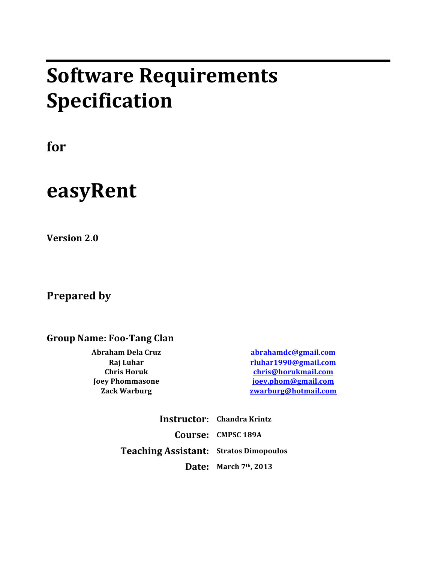# **Software Requirements Specification**

**for**

# **easyRent**

**Version 2.0** 

**Prepared by** 

**Group Name: Foo-Tang Clan**

**Abraham Dela Cruz abrahamdc@gmail.com Raj** Luhar **Raj** Luhar **rluhart rluhar rluhar rluhar rluhar rluhar rluhar rluhar rluhar rluhar rluhar rluhar rluhar rluhar rluhar rluhar rluhar rluhar rluhar rluhar rluhar rluhar Chris Horuk chris@horukmail.com Joey** Phommasone *joey.phom@gmail.com* **Zack Warburg zwarburg@hotmail.com**

> **Instructor: Chandra Krintz Course: CMPSC 189A Teaching Assistant: Stratos Dimopoulos Date:** March 7<sup>th</sup>, 2013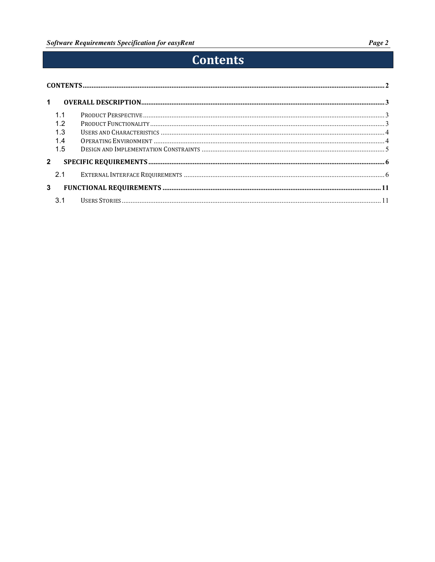# **Contents**

| $\blacktriangleleft$ |     |  |  |  |
|----------------------|-----|--|--|--|
|                      | 1.1 |  |  |  |
|                      | 1.2 |  |  |  |
|                      | 1.3 |  |  |  |
|                      | 14  |  |  |  |
|                      | 1.5 |  |  |  |
| $\mathbf{2}$         |     |  |  |  |
|                      | 2.1 |  |  |  |
| 3                    |     |  |  |  |
|                      | 3.1 |  |  |  |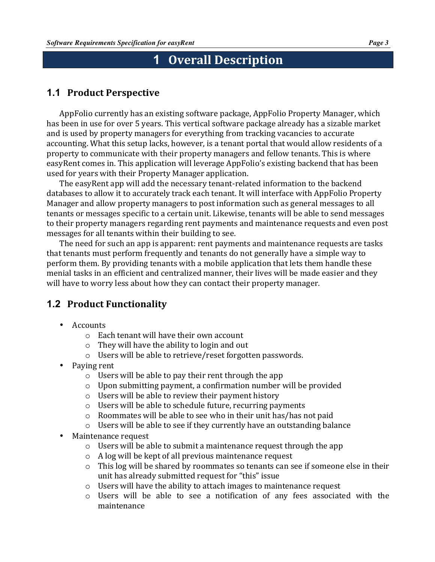# **1 Overall Description**

# **1.1 Product Perspective**

AppFolio currently has an existing software package, AppFolio Property Manager, which has been in use for over 5 years. This vertical software package already has a sizable market and is used by property managers for everything from tracking vacancies to accurate accounting. What this setup lacks, however, is a tenant portal that would allow residents of a property to communicate with their property managers and fellow tenants. This is where easyRent comes in. This application will leverage AppFolio's existing backend that has been used for years with their Property Manager application.

The easyRent app will add the necessary tenant-related information to the backend databases to allow it to accurately track each tenant. It will interface with AppFolio Property Manager and allow property managers to post information such as general messages to all tenants or messages specific to a certain unit. Likewise, tenants will be able to send messages to their property managers regarding rent payments and maintenance requests and even post messages for all tenants within their building to see.

The need for such an app is apparent: rent payments and maintenance requests are tasks that tenants must perform frequently and tenants do not generally have a simple way to perform them. By providing tenants with a mobile application that lets them handle these menial tasks in an efficient and centralized manner, their lives will be made easier and they will have to worry less about how they can contact their property manager.

# **1.2 Product Functionality**

- Accounts
	- $\circ$  Each tenant will have their own account
	- $\circ$  They will have the ability to login and out
	- $\circ$  Users will be able to retrieve/reset forgotten passwords.
- Paying rent
	- $\circ$  Users will be able to pay their rent through the app
	- $\circ$  Upon submitting payment, a confirmation number will be provided
	- $\circ$  Users will be able to review their payment history
	- $\circ$  Users will be able to schedule future, recurring payments
	- $\circ$  Roommates will be able to see who in their unit has/has not paid
	- $\circ$  Users will be able to see if they currently have an outstanding balance
- Maintenance request
	- $\circ$  Users will be able to submit a maintenance request through the app
	- $\circ$  A log will be kept of all previous maintenance request
	- $\circ$  This log will be shared by roommates so tenants can see if someone else in their unit has already submitted request for "this" issue
	- $\circ$  Users will have the ability to attach images to maintenance request
	- $\circ$  Users will be able to see a notification of any fees associated with the maintenance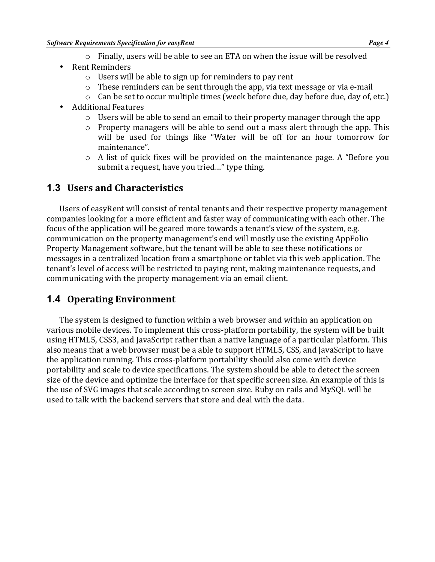- $\circ$  Finally, users will be able to see an ETA on when the issue will be resolved
- **Rent Reminders** 
	- $\circ$  Users will be able to sign up for reminders to pay rent
	- $\circ$  These reminders can be sent through the app, via text message or via e-mail
	- $\circ$  Can be set to occur multiple times (week before due, day before due, day of, etc.)
- Additional Features
	- $\circ$  Users will be able to send an email to their property manager through the app
	- $\circ$  Property managers will be able to send out a mass alert through the app. This will be used for things like "Water will be off for an hour tomorrow for maintenance".
	- $\circ$  A list of quick fixes will be provided on the maintenance page. A "Before you submit a request, have you tried..." type thing.

# **1.3 Users and Characteristics**

Users of easyRent will consist of rental tenants and their respective property management companies looking for a more efficient and faster way of communicating with each other. The focus of the application will be geared more towards a tenant's view of the system, e.g. communication on the property management's end will mostly use the existing AppFolio Property Management software, but the tenant will be able to see these notifications or messages in a centralized location from a smartphone or tablet via this web application. The tenant's level of access will be restricted to paying rent, making maintenance requests, and communicating with the property management via an email client.

# **1.4 Operating Environment**

The system is designed to function within a web browser and within an application on various mobile devices. To implement this cross-platform portability, the system will be built using HTML5, CSS3, and JavaScript rather than a native language of a particular platform. This also means that a web browser must be a able to support HTML5, CSS, and JavaScript to have the application running. This cross-platform portability should also come with device portability and scale to device specifications. The system should be able to detect the screen size of the device and optimize the interface for that specific screen size. An example of this is the use of SVG images that scale according to screen size. Ruby on rails and MySQL will be used to talk with the backend servers that store and deal with the data.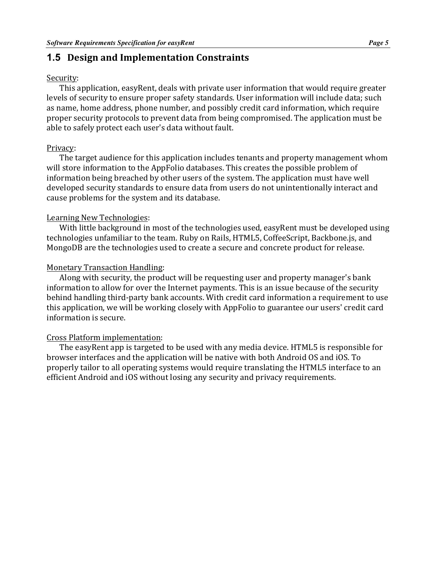### **1.5 Design and Implementation Constraints**

#### Security:

This application, easyRent, deals with private user information that would require greater levels of security to ensure proper safety standards. User information will include data; such as name, home address, phone number, and possibly credit card information, which require proper security protocols to prevent data from being compromised. The application must be able to safely protect each user's data without fault.

#### Privacy:

The target audience for this application includes tenants and property management whom will store information to the AppFolio databases. This creates the possible problem of information being breached by other users of the system. The application must have well developed security standards to ensure data from users do not unintentionally interact and cause problems for the system and its database.

#### Learning New Technologies:

With little background in most of the technologies used, easyRent must be developed using technologies unfamiliar to the team. Ruby on Rails, HTML5, CoffeeScript, Backbone.js, and MongoDB are the technologies used to create a secure and concrete product for release.

#### Monetary Transaction Handling:

Along with security, the product will be requesting user and property manager's bank information to allow for over the Internet payments. This is an issue because of the security behind handling third-party bank accounts. With credit card information a requirement to use this application, we will be working closely with AppFolio to guarantee our users' credit card information is secure.

#### Cross Platform implementation:

The easyRent app is targeted to be used with any media device. HTML5 is responsible for browser interfaces and the application will be native with both Android OS and iOS. To properly tailor to all operating systems would require translating the HTML5 interface to an efficient Android and iOS without losing any security and privacy requirements.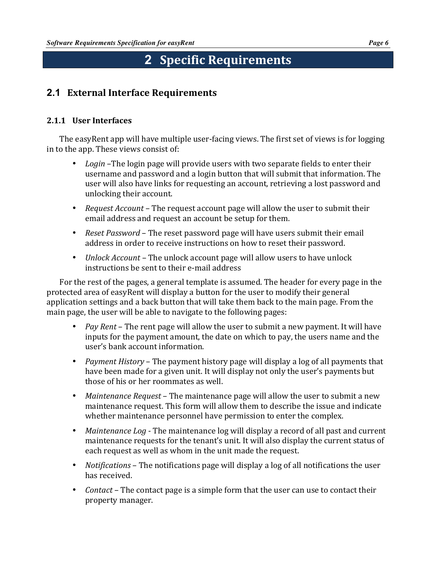# **2 Specific Requirements**

# **2.1 External Interface Requirements**

### **2.1.1 User Interfaces**

The easyRent app will have multiple user-facing views. The first set of views is for logging in to the app. These views consist of:

- Login -The login page will provide users with two separate fields to enter their username and password and a login button that will submit that information. The user will also have links for requesting an account, retrieving a lost password and unlocking their account.
- *Request Account* The request account page will allow the user to submit their email address and request an account be setup for them.
- *Reset Password* The reset password page will have users submit their email address in order to receive instructions on how to reset their password.
- *Unlock Account* The unlock account page will allow users to have unlock instructions be sent to their e-mail address

For the rest of the pages, a general template is assumed. The header for every page in the protected area of easyRent will display a button for the user to modify their general application settings and a back button that will take them back to the main page. From the main page, the user will be able to navigate to the following pages:

- *Pay Rent* The rent page will allow the user to submit a new payment. It will have inputs for the payment amount, the date on which to pay, the users name and the user's bank account information.
- *Payment History* The payment history page will display a log of all payments that have been made for a given unit. It will display not only the user's payments but those of his or her roommates as well.
- *Maintenance Request* The maintenance page will allow the user to submit a new maintenance request. This form will allow them to describe the issue and indicate whether maintenance personnel have permission to enter the complex.
- *Maintenance Log* The maintenance log will display a record of all past and current maintenance requests for the tenant's unit. It will also display the current status of each request as well as whom in the unit made the request.
- *Notifications* The notifications page will display a log of all notifications the user has received.
- *Contact* The contact page is a simple form that the user can use to contact their property manager.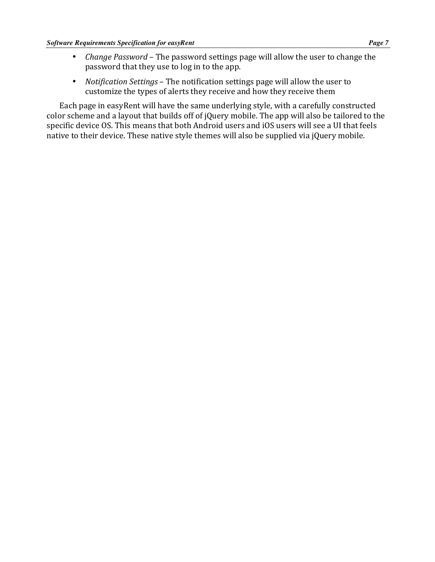- *Change Password* The password settings page will allow the user to change the password that they use to log in to the app.
- *Notification Settings* The notification settings page will allow the user to customize the types of alerts they receive and how they receive them

Each page in easyRent will have the same underlying style, with a carefully constructed color scheme and a layout that builds off of jQuery mobile. The app will also be tailored to the specific device OS. This means that both Android users and iOS users will see a UI that feels native to their device. These native style themes will also be supplied via jQuery mobile.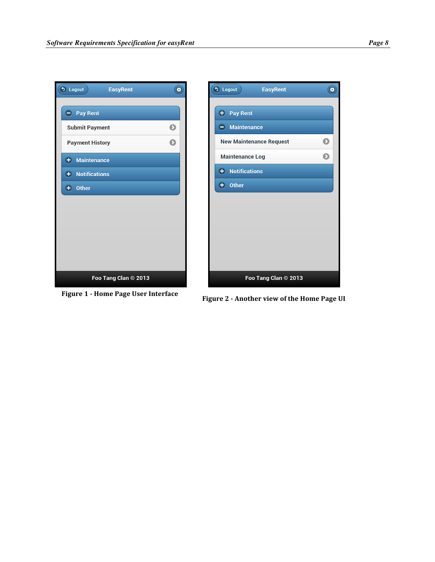



**Figure 1 - Home Page User Interface Figure 2 - Another view of the Home Page UI**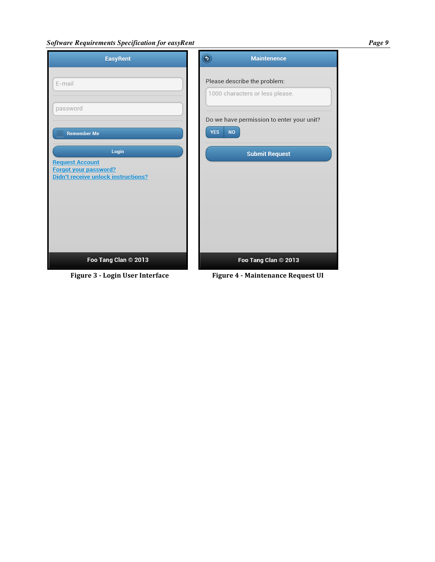#### *Software Requirements Specification for easyRent Page 9*

| <b>EasyRent</b>                                            | <b>Maintenence</b>                                                   |
|------------------------------------------------------------|----------------------------------------------------------------------|
| E-mail                                                     | Please describe the problem:<br>1000 characters or less please.      |
| password<br><b>Remember Me</b>                             | Do we have permission to enter your unit?<br><b>YES</b><br><b>NO</b> |
| Login<br>equest Account                                    | <b>Submit Request</b>                                                |
| orgot your password?<br>idn't receive unlock instructions? |                                                                      |
|                                                            |                                                                      |
|                                                            |                                                                      |
| Foo Tang Clan © 2013                                       | Foo Tang Clan © 2013                                                 |

 $\overline{B}$ E D

**Figure 3 - Login User Interface Figure 4 - Maintenance Request UI**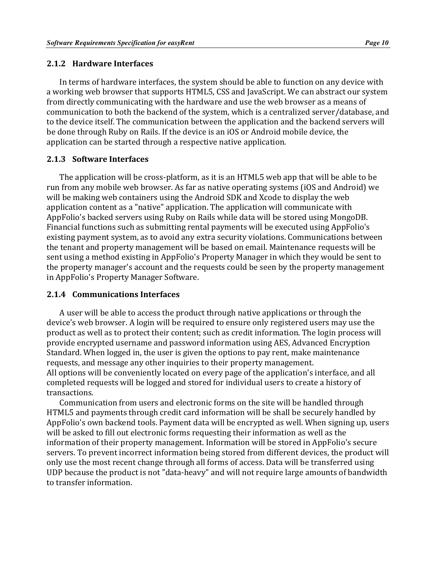#### **2.1.2 Hardware Interfaces**

In terms of hardware interfaces, the system should be able to function on any device with a working web browser that supports HTML5, CSS and JavaScript. We can abstract our system from directly communicating with the hardware and use the web browser as a means of communication to both the backend of the system, which is a centralized server/database, and to the device itself. The communication between the application and the backend servers will be done through Ruby on Rails. If the device is an iOS or Android mobile device, the application can be started through a respective native application.

#### **2.1.3 Software Interfaces**

The application will be cross-platform, as it is an HTML5 web app that will be able to be run from any mobile web browser. As far as native operating systems (iOS and Android) we will be making web containers using the Android SDK and Xcode to display the web application content as a "native" application. The application will communicate with AppFolio's backed servers using Ruby on Rails while data will be stored using MongoDB. Financial functions such as submitting rental payments will be executed using AppFolio's existing payment system, as to avoid any extra security violations. Communications between the tenant and property management will be based on email. Maintenance requests will be sent using a method existing in AppFolio's Property Manager in which they would be sent to the property manager's account and the requests could be seen by the property management in AppFolio's Property Manager Software.

#### **2.1.4 Communications Interfaces**

A user will be able to access the product through native applications or through the device's web browser. A login will be required to ensure only registered users may use the product as well as to protect their content; such as credit information. The login process will provide encrypted username and password information using AES, Advanced Encryption Standard. When logged in, the user is given the options to pay rent, make maintenance requests, and message any other inquiries to their property management. All options will be conveniently located on every page of the application's interface, and all completed requests will be logged and stored for individual users to create a history of transactions.

Communication from users and electronic forms on the site will be handled through HTML5 and payments through credit card information will be shall be securely handled by AppFolio's own backend tools. Payment data will be encrypted as well. When signing up, users will be asked to fill out electronic forms requesting their information as well as the information of their property management. Information will be stored in AppFolio's secure servers. To prevent incorrect information being stored from different devices, the product will only use the most recent change through all forms of access. Data will be transferred using UDP because the product is not "data-heavy" and will not require large amounts of bandwidth to transfer information.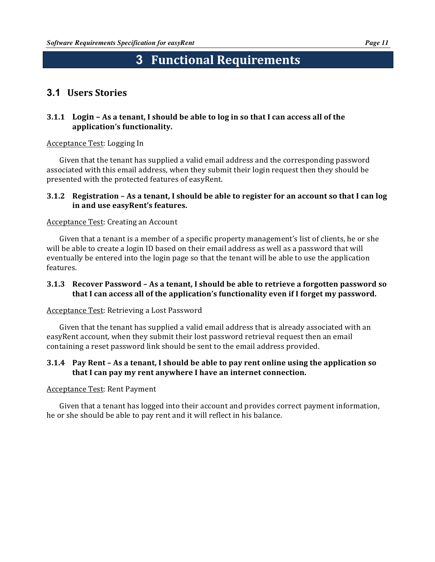# **3 Functional Requirements**

# **3.1 Users Stories**

#### **3.1.1** Login – As a tenant, I should be able to log in so that I can access all of the application's functionality.

#### Acceptance Test: Logging In

Given that the tenant has supplied a valid email address and the corresponding password associated with this email address, when they submit their login request then they should be presented with the protected features of easyRent.

#### **3.1.2** Registration – As a tenant, I should be able to register for an account so that I can log in and use easyRent's features.

#### Acceptance Test: Creating an Account

Given that a tenant is a member of a specific property management's list of clients, he or she will be able to create a login ID based on their email address as well as a password that will eventually be entered into the login page so that the tenant will be able to use the application features.

#### **3.1.3** Recover Password – As a tenant, I should be able to retrieve a forgotten password so **that I can access all of the application's functionality even if I forget my password.**

#### Acceptance Test: Retrieving a Lost Password

Given that the tenant has supplied a valid email address that is already associated with an easyRent account, when they submit their lost password retrieval request then an email containing a reset password link should be sent to the email address provided.

#### **3.1.4** Pay Rent – As a tenant, I should be able to pay rent online using the application so **that I can pay my rent anywhere I have an internet connection.**

#### Acceptance Test: Rent Payment

Given that a tenant has logged into their account and provides correct payment information, he or she should be able to pay rent and it will reflect in his balance.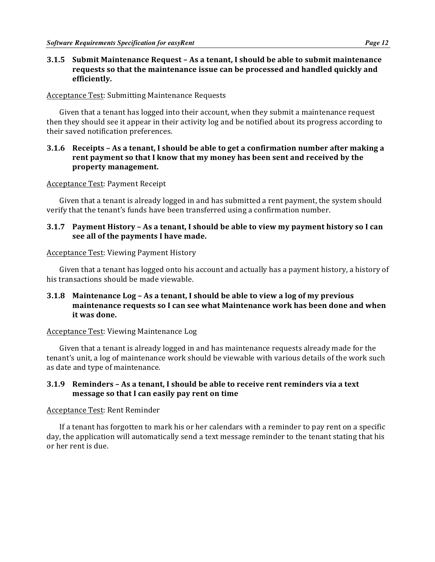#### **3.1.5 Submit Maintenance Request – As a tenant, I should be able to submit maintenance requests** so that the maintenance issue can be processed and handled quickly and **efficiently.**

**Acceptance Test: Submitting Maintenance Requests** 

Given that a tenant has logged into their account, when they submit a maintenance request then they should see it appear in their activity log and be notified about its progress according to their saved notification preferences.

#### **3.1.6** Receipts - As a tenant, I should be able to get a confirmation number after making a **rent payment so that I know that my money has been sent and received by the property management.**

#### Acceptance Test: Payment Receipt

Given that a tenant is already logged in and has submitted a rent payment, the system should verify that the tenant's funds have been transferred using a confirmation number.

#### **3.1.7** Payment History – As a tenant, I should be able to view my payment history so I can **see all of the payments I have made.**

#### Acceptance Test: Viewing Payment History

Given that a tenant has logged onto his account and actually has a payment history, a history of his transactions should be made viewable.

#### **3.1.8** Maintenance Log – As a tenant, I should be able to view a log of my previous **maintenance requests so I can see what Maintenance work has been done and when it was done.**

#### Acceptance Test: Viewing Maintenance Log

Given that a tenant is already logged in and has maintenance requests already made for the tenant's unit, a log of maintenance work should be viewable with various details of the work such as date and type of maintenance.

#### **3.1.9** Reminders – As a tenant, I should be able to receive rent reminders via a text **message so that I can easily pay rent on time**

#### Acceptance Test: Rent Reminder

If a tenant has forgotten to mark his or her calendars with a reminder to pay rent on a specific day, the application will automatically send a text message reminder to the tenant stating that his or her rent is due.